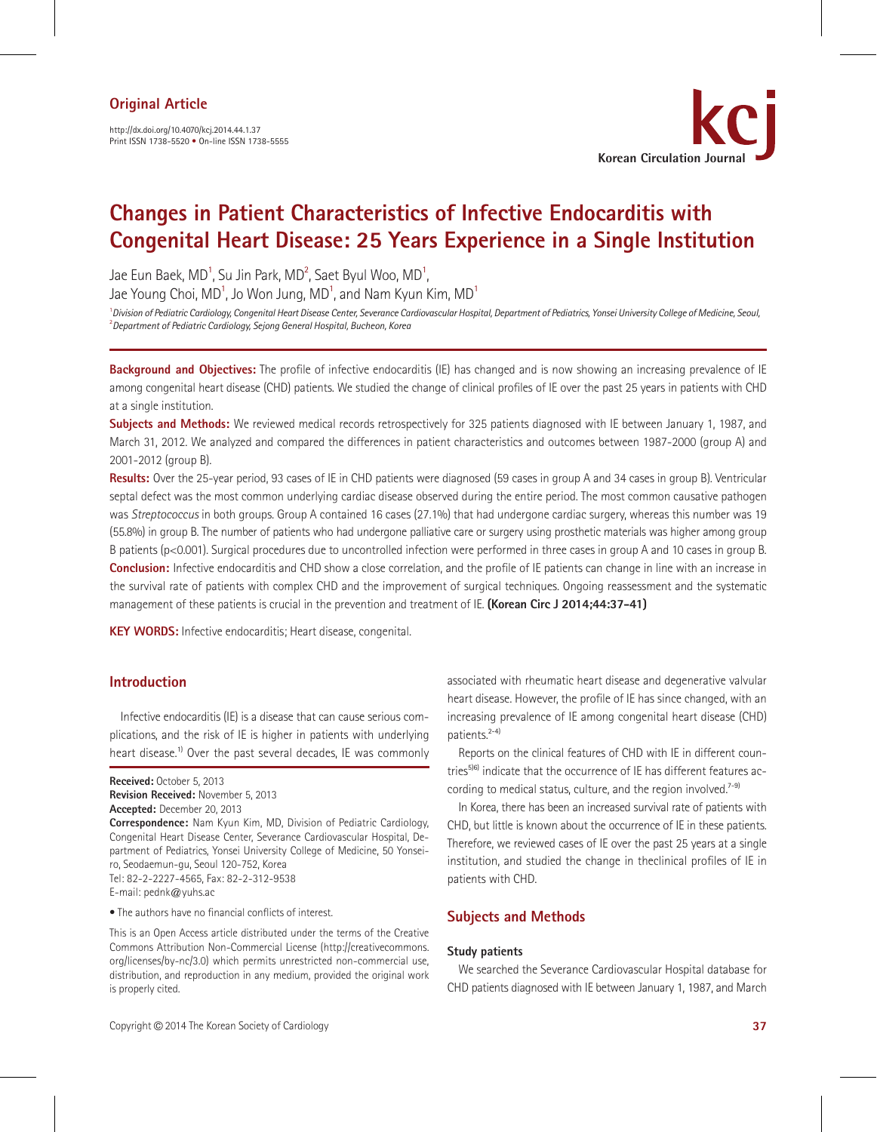http://dx.doi.org/10.4070/kcj.2014.44.1.37 Print ISSN 1738-5520 • On-line ISSN 1738-5555



# **Changes in Patient Characteristics of Infective Endocarditis with Congenital Heart Disease: 25 Years Experience in a Single Institution**

Jae Eun Baek, MD<sup>1</sup>, Su Jin Park, MD<sup>2</sup>, Saet Byul Woo, MD<sup>1</sup>,

Jae Young Choi, MD $^{\sf 1}$ , Jo Won Jung, MD $^{\sf 1}$ , and Nam Kyun Kim, MD $^{\sf 1}$ 

1 *Division of Pediatric Cardiology, Congenital Heart Disease Center, Severance Cardiovascular Hospital, Department of Pediatrics, Yonsei University College of Medicine, Seoul,* 2 *Department of Pediatric Cardiology, Sejong General Hospital, Bucheon, Korea*

**Background and Objectives:** The profile of infective endocarditis (IE) has changed and is now showing an increasing prevalence of IE among congenital heart disease (CHD) patients. We studied the change of clinical profiles of IE over the past 25 years in patients with CHD at a single institution.

**Subjects and Methods:** We reviewed medical records retrospectively for 325 patients diagnosed with IE between January 1, 1987, and March 31, 2012. We analyzed and compared the differences in patient characteristics and outcomes between 1987-2000 (group A) and 2001-2012 (group B).

**Results:** Over the 25-year period, 93 cases of IE in CHD patients were diagnosed (59 cases in group A and 34 cases in group B). Ventricular septal defect was the most common underlying cardiac disease observed during the entire period. The most common causative pathogen was *Streptococcus* in both groups. Group A contained 16 cases (27.1%) that had undergone cardiac surgery, whereas this number was 19 (55.8%) in group B. The number of patients who had undergone palliative care or surgery using prosthetic materials was higher among group B patients ( $p$ <0.001). Surgical procedures due to uncontrolled infection were performed in three cases in group A and 10 cases in group B. **Conclusion:** Infective endocarditis and CHD show a close correlation, and the profile of IE patients can change in line with an increase in the survival rate of patients with complex CHD and the improvement of surgical techniques. Ongoing reassessment and the systematic management of these patients is crucial in the prevention and treatment of IE. **(Korean Circ J 2014;44:37-41)**

**KEY WORDS:** Infective endocarditis; Heart disease, congenital.

## **Introduction**

Infective endocarditis (IE) is a disease that can cause serious complications, and the risk of IE is higher in patients with underlying heart disease.<sup>1)</sup> Over the past several decades. IE was commonly

**Received:** October 5, 2013

**Revision Received:** November 5, 2013

**Accepted:** December 20, 2013

**Correspondence:** Nam Kyun Kim, MD, Division of Pediatric Cardiology, Congenital Heart Disease Center, Severance Cardiovascular Hospital, Department of Pediatrics, Yonsei University College of Medicine, 50 Yonseiro, Seodaemun-gu, Seoul 120-752, Korea Tel: 82-2-2227-4565, Fax: 82-2-312-9538 E-mail: pednk@yuhs.ac

• The authors have no financial conflicts of interest.

This is an Open Access article distributed under the terms of the Creative Commons Attribution Non-Commercial License (http://creativecommons. org/licenses/by-nc/3.0) which permits unrestricted non-commercial use, distribution, and reproduction in any medium, provided the original work is properly cited.

associated with rheumatic heart disease and degenerative valvular heart disease. However, the profile of IE has since changed, with an increasing prevalence of IE among congenital heart disease (CHD) patients.2-4)

Reports on the clinical features of CHD with IE in different countries<sup>5)6)</sup> indicate that the occurrence of IE has different features according to medical status, culture, and the region involved.<sup>7-9)</sup>

In Korea, there has been an increased survival rate of patients with CHD, but little is known about the occurrence of IE in these patients. Therefore, we reviewed cases of IE over the past 25 years at a single institution, and studied the change in theclinical profiles of IE in patients with CHD.

## **Subjects and Methods**

## **Study patients**

We searched the Severance Cardiovascular Hospital database for CHD patients diagnosed with IE between January 1, 1987, and March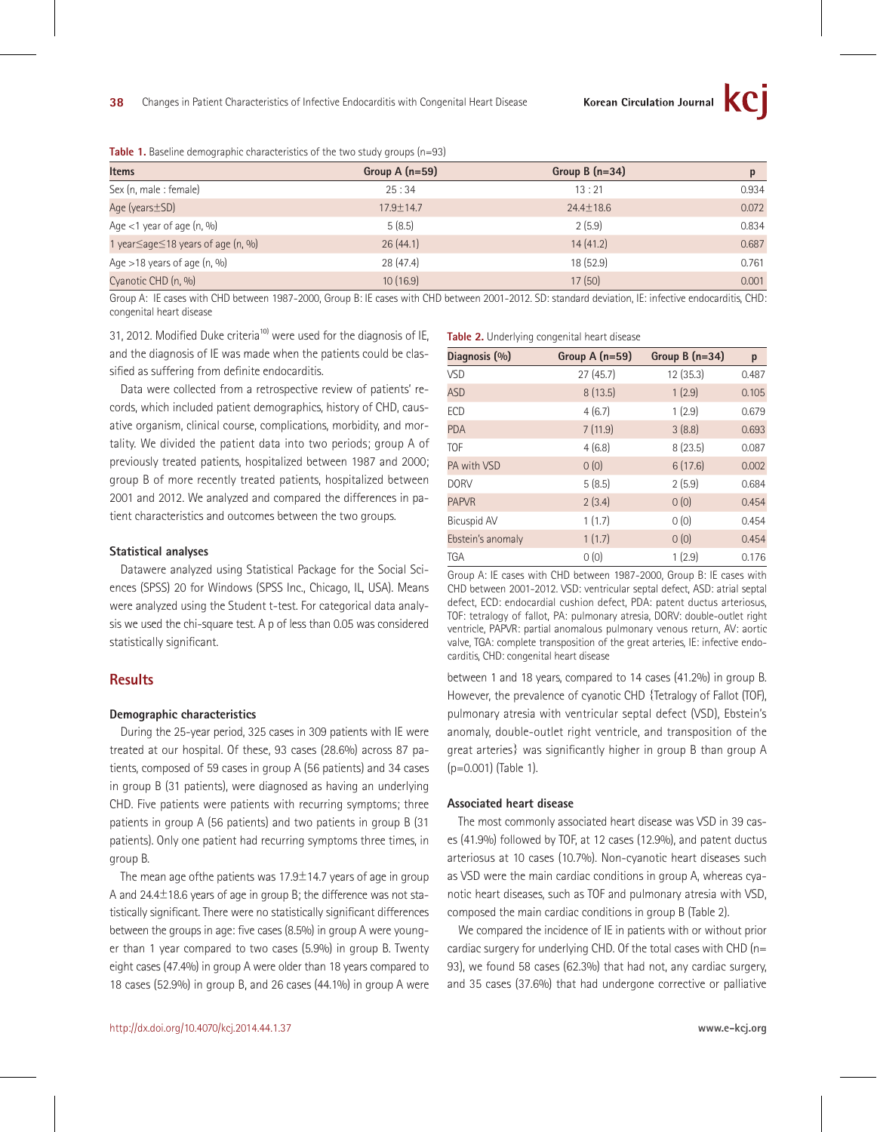| <b>TWO IS DATE:</b> THE MELLOY MONTE CHAINECONDERS OF THE CHIP SCAMP MIDAGO (III) OUR |                 |                  |       |  |  |
|---------------------------------------------------------------------------------------|-----------------|------------------|-------|--|--|
| <b>Items</b>                                                                          | Group $A(n=59)$ | Group B $(n=34)$ |       |  |  |
| Sex (n, male : female)                                                                | 25:34           | 13:21            | 0.934 |  |  |
| Age (years ± SD)                                                                      | 17.9±14.7       | $24.4 \pm 18.6$  | 0.072 |  |  |
| Age $<$ 1 year of age $(n, 96)$                                                       | 5(8.5)          | 2(5.9)           | 0.834 |  |  |
| 1 year $\leq$ age $\leq$ 18 years of age (n, %)                                       | 26(44.1)        | 14(41.2)         | 0.687 |  |  |
| Age $>$ 18 years of age (n, %)                                                        | 28(47.4)        | 18 (52.9)        | 0.761 |  |  |
| Cyanotic CHD (n, %)                                                                   | 10(16.9)        | 17(50)           | 0.001 |  |  |

**Table 1.** Baseline demographic characteristics of the two study groups (n=93)

Group A: IE cases with CHD between 1987-2000, Group B: IE cases with CHD between 2001-2012. SD: standard deviation, IE: infective endocarditis, CHD: congenital heart disease

31, 2012. Modified Duke criteria<sup>10)</sup> were used for the diagnosis of IE, and the diagnosis of IE was made when the patients could be classified as suffering from definite endocarditis.

Data were collected from a retrospective review of patients' records, which included patient demographics, history of CHD, causative organism, clinical course, complications, morbidity, and mortality. We divided the patient data into two periods; group A of previously treated patients, hospitalized between 1987 and 2000; group B of more recently treated patients, hospitalized between 2001 and 2012. We analyzed and compared the differences in patient characteristics and outcomes between the two groups.

#### **Statistical analyses**

Datawere analyzed using Statistical Package for the Social Sciences (SPSS) 20 for Windows (SPSS Inc., Chicago, IL, USA). Means were analyzed using the Student t-test. For categorical data analysis we used the chi-square test. A p of less than 0.05 was considered statistically significant.

## **Results**

#### **Demographic characteristics**

During the 25-year period, 325 cases in 309 patients with IE were treated at our hospital. Of these, 93 cases (28.6%) across 87 patients, composed of 59 cases in group A (56 patients) and 34 cases in group B (31 patients), were diagnosed as having an underlying CHD. Five patients were patients with recurring symptoms; three patients in group A (56 patients) and two patients in group B (31 patients). Only one patient had recurring symptoms three times, in group B.

The mean age of the patients was  $17.9\pm14.7$  years of age in group A and 24.4±18.6 years of age in group B; the difference was not statistically significant. There were no statistically significant differences between the groups in age: five cases (8.5%) in group A were younger than 1 year compared to two cases (5.9%) in group B. Twenty eight cases (47.4%) in group A were older than 18 years compared to 18 cases (52.9%) in group B, and 26 cases (44.1%) in group A were

#### **Table 2.** Underlying congenital heart disease

| Diagnosis (%)      | Group $A(n=59)$ | Group $B(n=34)$ | p     |
|--------------------|-----------------|-----------------|-------|
| VSD                | 27(45.7)        | 12 (35.3)       | 0.487 |
| <b>ASD</b>         | 8(13.5)         | 1(2.9)          | 0.105 |
| ECD                | 4(6.7)          | 1(2.9)          | 0.679 |
| <b>PDA</b>         | 7(11.9)         | 3(8.8)          | 0.693 |
| <b>TOF</b>         | 4(6.8)          | 8(23.5)         | 0.087 |
| PA with VSD        | 0(0)            | 6(17.6)         | 0.002 |
| <b>DORV</b>        | 5(8.5)          | 2(5.9)          | 0.684 |
| <b>PAPVR</b>       | 2(3.4)          | 0(0)            | 0.454 |
| <b>Bicuspid AV</b> | 1(1.7)          | 0(0)            | 0.454 |
| Ebstein's anomaly  | 1(1.7)          | 0(0)            | 0.454 |
| <b>TGA</b>         | 0(0)            | 1(2.9)          | 0.176 |

Group A: IE cases with CHD between 1987-2000, Group B: IE cases with CHD between 2001-2012. VSD: ventricular septal defect, ASD: atrial septal defect, ECD: endocardial cushion defect, PDA: patent ductus arteriosus, TOF: tetralogy of fallot, PA: pulmonary atresia, DORV: double-outlet right ventricle, PAPVR: partial anomalous pulmonary venous return, AV: aortic valve, TGA: complete transposition of the great arteries, IE: infective endocarditis, CHD: congenital heart disease

between 1 and 18 years, compared to 14 cases (41.2%) in group B. However, the prevalence of cyanotic CHD {Tetralogy of Fallot (TOF), pulmonary atresia with ventricular septal defect (VSD), Ebstein's anomaly, double-outlet right ventricle, and transposition of the great arteries} was significantly higher in group B than group A (p=0.001) (Table 1).

#### **Associated heart disease**

The most commonly associated heart disease was VSD in 39 cases (41.9%) followed by TOF, at 12 cases (12.9%), and patent ductus arteriosus at 10 cases (10.7%). Non-cyanotic heart diseases such as VSD were the main cardiac conditions in group A, whereas cyanotic heart diseases, such as TOF and pulmonary atresia with VSD, composed the main cardiac conditions in group B (Table 2).

We compared the incidence of IE in patients with or without prior cardiac surgery for underlying CHD. Of the total cases with CHD (n= 93), we found 58 cases (62.3%) that had not, any cardiac surgery, and 35 cases (37.6%) that had undergone corrective or palliative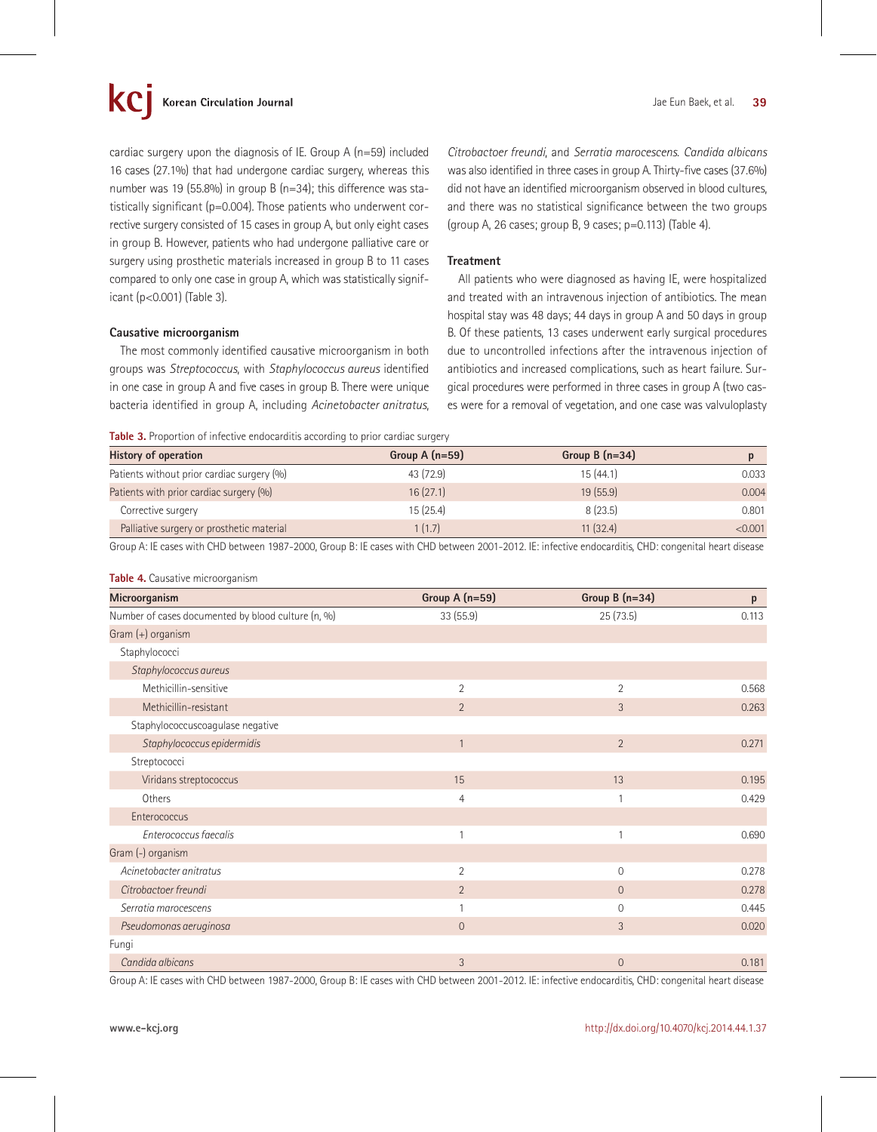cardiac surgery upon the diagnosis of IE. Group A (n=59) included 16 cases (27.1%) that had undergone cardiac surgery, whereas this number was 19 (55.8%) in group B (n=34); this difference was statistically significant (p=0.004). Those patients who underwent corrective surgery consisted of 15 cases in group A, but only eight cases in group B. However, patients who had undergone palliative care or surgery using prosthetic materials increased in group B to 11 cases compared to only one case in group A, which was statistically significant (p<0.001) (Table 3).

#### **Causative microorganism**

The most commonly identified causative microorganism in both groups was *Streptococcus*, with *Staphylococcus aureus* identified in one case in group A and five cases in group B. There were unique bacteria identified in group A, including *Acinetobacter anitratus*,

*Citrobactoer freundi*, and *Serratia marocescens*. *Candida albicans* was also identified in three cases in group A. Thirty-five cases (37.6%) did not have an identified microorganism observed in blood cultures, and there was no statistical significance between the two groups (group A, 26 cases; group B, 9 cases; p=0.113) (Table 4).

## **Treatment**

All patients who were diagnosed as having IE, were hospitalized and treated with an intravenous injection of antibiotics. The mean hospital stay was 48 days; 44 days in group A and 50 days in group B. Of these patients, 13 cases underwent early surgical procedures due to uncontrolled infections after the intravenous injection of antibiotics and increased complications, such as heart failure. Surgical procedures were performed in three cases in group A (two cases were for a removal of vegetation, and one case was valvuloplasty

**Table 3.** Proportion of infective endocarditis according to prior cardiac surgery

| <b>History of operation</b>                | Group $A(n=59)$ | Group B $(n=34)$ |         |
|--------------------------------------------|-----------------|------------------|---------|
| Patients without prior cardiac surgery (%) | 43 (72.9)       | 15 (44.1)        | 0.033   |
| Patients with prior cardiac surgery (%)    | 16(27.1)        | 19(55.9)         | 0.004   |
| Corrective surgery                         | 15(25.4)        | 8(23.5)          | 0.801   |
| Palliative surgery or prosthetic material  | 1(1.7)          | 11(32.4)         | < 0.001 |

Group A: IE cases with CHD between 1987-2000, Group B: IE cases with CHD between 2001-2012. IE: infective endocarditis, CHD: congenital heart disease

#### **Table 4.** Causative microorganism

| Microorganism                                      | Group A (n=59) | Group B $(n=34)$ | p     |
|----------------------------------------------------|----------------|------------------|-------|
| Number of cases documented by blood culture (n, %) | 33 (55.9)      | 25 (73.5)        | 0.113 |
| Gram (+) organism                                  |                |                  |       |
| Staphylococci                                      |                |                  |       |
| Staphylococcus aureus                              |                |                  |       |
| Methicillin-sensitive                              | $\overline{2}$ | $\overline{2}$   | 0.568 |
| Methicillin-resistant                              | $\overline{2}$ | 3                | 0.263 |
| Staphylococcuscoagulase negative                   |                |                  |       |
| Staphylococcus epidermidis                         | $\mathbf{1}$   | $\overline{2}$   | 0.271 |
| Streptococci                                       |                |                  |       |
| Viridans streptococcus                             | 15             | 13               | 0.195 |
| Others                                             | 4              |                  | 0.429 |
| Enterococcus                                       |                |                  |       |
| Enterococcus faecalis                              |                | 1                | 0.690 |
| Gram (-) organism                                  |                |                  |       |
| Acinetobacter anitratus                            | 2              | $\mathbf 0$      | 0.278 |
| Citrobactoer freundi                               | $\overline{2}$ | $\overline{0}$   | 0.278 |
| Serratia marocescens                               |                | $\Omega$         | 0.445 |
| Pseudomonas aeruginosa                             | $\overline{0}$ | 3                | 0.020 |
| Fungi                                              |                |                  |       |
| Candida albicans                                   | 3              | $\overline{0}$   | 0.181 |

Group A: IE cases with CHD between 1987-2000, Group B: IE cases with CHD between 2001-2012. IE: infective endocarditis, CHD: congenital heart disease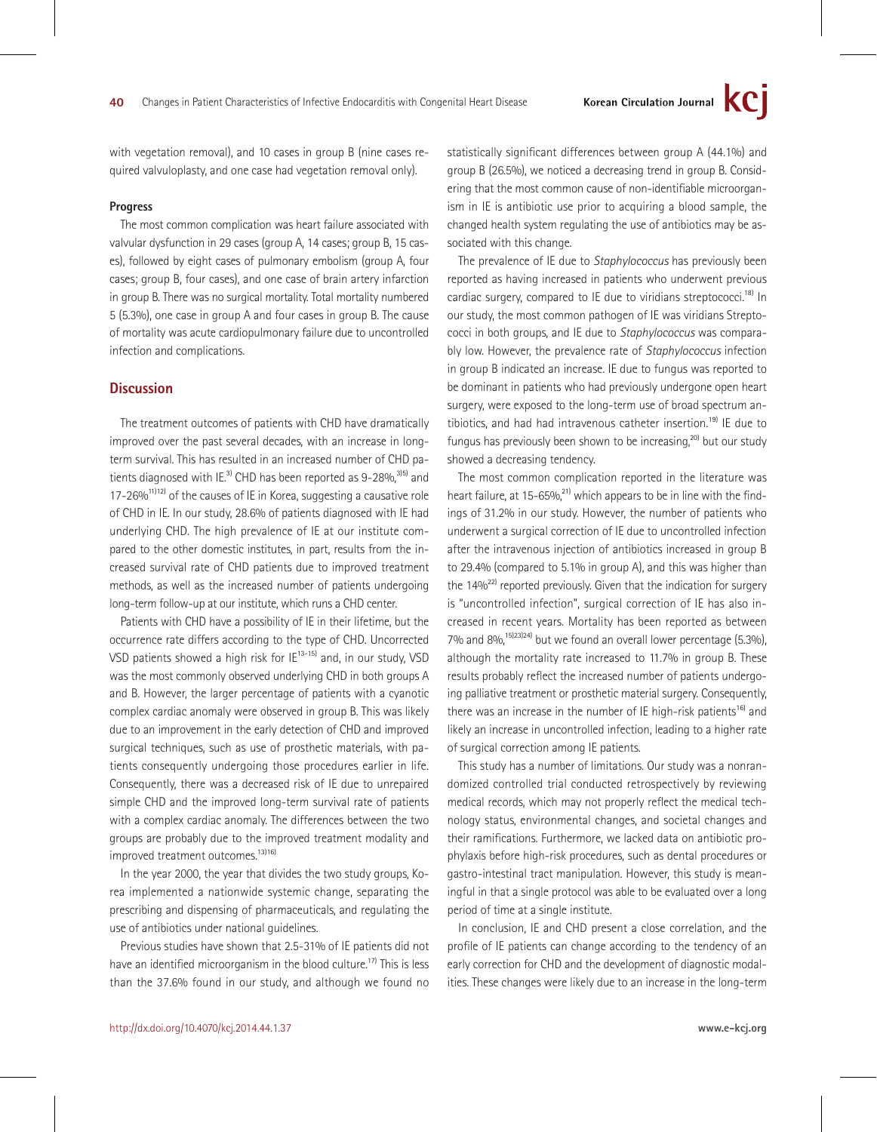with vegetation removal), and 10 cases in group B (nine cases required valvuloplasty, and one case had vegetation removal only).

### **Progress**

The most common complication was heart failure associated with valvular dysfunction in 29 cases (group A, 14 cases; group B, 15 cases), followed by eight cases of pulmonary embolism (group A, four cases; group B, four cases), and one case of brain artery infarction in group B. There was no surgical mortality. Total mortality numbered 5 (5.3%), one case in group A and four cases in group B. The cause of mortality was acute cardiopulmonary failure due to uncontrolled infection and complications.

## **Discussion**

The treatment outcomes of patients with CHD have dramatically improved over the past several decades, with an increase in longterm survival. This has resulted in an increased number of CHD patients diagnosed with IE.<sup>3)</sup> CHD has been reported as 9-28%,  $315$  and  $17-26\%$ <sup>11)12</sup>) of the causes of IE in Korea, suggesting a causative role of CHD in IE. In our study, 28.6% of patients diagnosed with IE had underlying CHD. The high prevalence of IE at our institute compared to the other domestic institutes, in part, results from the increased survival rate of CHD patients due to improved treatment methods, as well as the increased number of patients undergoing long-term follow-up at our institute, which runs a CHD center.

Patients with CHD have a possibility of IE in their lifetime, but the occurrence rate differs according to the type of CHD. Uncorrected VSD patients showed a high risk for IE<sup>13-15)</sup> and, in our study, VSD was the most commonly observed underlying CHD in both groups A and B. However, the larger percentage of patients with a cyanotic complex cardiac anomaly were observed in group B. This was likely due to an improvement in the early detection of CHD and improved surgical techniques, such as use of prosthetic materials, with patients consequently undergoing those procedures earlier in life. Consequently, there was a decreased risk of IE due to unrepaired simple CHD and the improved long-term survival rate of patients with a complex cardiac anomaly. The differences between the two groups are probably due to the improved treatment modality and improved treatment outcomes.<sup>13)16)</sup>

In the year 2000, the year that divides the two study groups, Korea implemented a nationwide systemic change, separating the prescribing and dispensing of pharmaceuticals, and regulating the use of antibiotics under national guidelines.

Previous studies have shown that 2.5-31% of IE patients did not have an identified microorganism in the blood culture.<sup>17)</sup> This is less than the 37.6% found in our study, and although we found no statistically significant differences between group A (44.1%) and group B (26.5%), we noticed a decreasing trend in group B. Considering that the most common cause of non-identifiable microorganism in IE is antibiotic use prior to acquiring a blood sample, the changed health system regulating the use of antibiotics may be associated with this change.

The prevalence of IE due to *Staphylococcus* has previously been reported as having increased in patients who underwent previous cardiac surgery, compared to IE due to viridians streptococci.<sup>18)</sup> In our study, the most common pathogen of IE was viridians Streptococci in both groups, and IE due to *Staphylococcus* was comparably low. However, the prevalence rate of *Staphylococcus* infection in group B indicated an increase. IE due to fungus was reported to be dominant in patients who had previously undergone open heart surgery, were exposed to the long-term use of broad spectrum antibiotics, and had had intravenous catheter insertion.<sup>19)</sup> IE due to fungus has previously been shown to be increasing, $^{20}$  but our study showed a decreasing tendency.

The most common complication reported in the literature was heart failure, at 15-65%, $^{21}$  which appears to be in line with the findings of 31.2% in our study. However, the number of patients who underwent a surgical correction of IE due to uncontrolled infection after the intravenous injection of antibiotics increased in group B to 29.4% (compared to 5.1% in group A), and this was higher than the  $14\%^{22}$  reported previously. Given that the indication for surgery is "uncontrolled infection", surgical correction of IE has also increased in recent years. Mortality has been reported as between 7% and 8%,15)23)24) but we found an overall lower percentage (5.3%), although the mortality rate increased to 11.7% in group B. These results probably reflect the increased number of patients undergoing palliative treatment or prosthetic material surgery. Consequently, there was an increase in the number of IE high-risk patients<sup>16)</sup> and likely an increase in uncontrolled infection, leading to a higher rate of surgical correction among IE patients.

This study has a number of limitations. Our study was a nonrandomized controlled trial conducted retrospectively by reviewing medical records, which may not properly reflect the medical technology status, environmental changes, and societal changes and their ramifications. Furthermore, we lacked data on antibiotic prophylaxis before high-risk procedures, such as dental procedures or gastro-intestinal tract manipulation. However, this study is meaningful in that a single protocol was able to be evaluated over a long period of time at a single institute.

In conclusion, IE and CHD present a close correlation, and the profile of IE patients can change according to the tendency of an early correction for CHD and the development of diagnostic modalities. These changes were likely due to an increase in the long-term